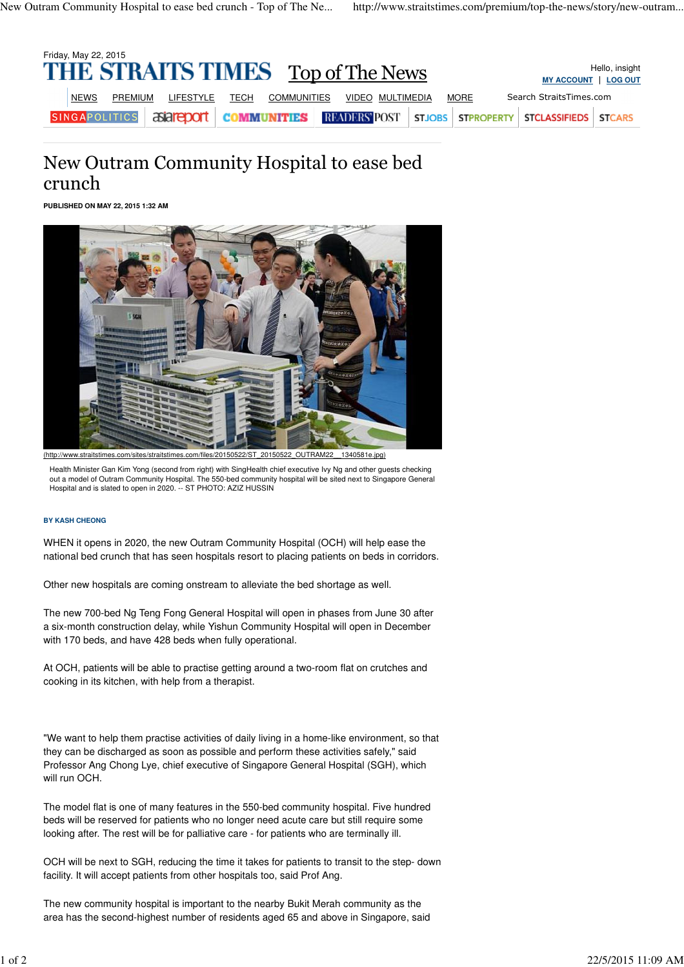| Friday, May 22, 2015<br><b>THE STRAITS TIMES</b> Top of The News<br><b>MY ACCOUNT</b> |             |                      |           |      |             |  |                  |  |             |                                                                                | Hello, insight<br><b>LOG OUT</b> |
|---------------------------------------------------------------------------------------|-------------|----------------------|-----------|------|-------------|--|------------------|--|-------------|--------------------------------------------------------------------------------|----------------------------------|
|                                                                                       | <b>NEWS</b> | <b>PREMIUM</b>       | LIFESTYLE | TECH | COMMUNITIES |  | VIDEO MULTIMEDIA |  | <b>MORE</b> | Search StraitsTimes.com                                                        |                                  |
|                                                                                       |             | <b>SINGAPOLITICS</b> |           |      |             |  |                  |  |             | <b>EXECUTE COMMUNITIES READERS POST STJOBS STPROPERTY STCLASSIFIEDS STCARS</b> |                                  |

## New Outram Community Hospital to ease bed crunch

**PUBLISHED ON MAY 22, 2015 1:32 AM**



Health Minister Gan Kim Yong (second from right) with SingHealth chief executive Ivy Ng and other guests checking out a model of Outram Community Hospital. The 550-bed community hospital will be sited next to Singapore General Hospital and is slated to open in 2020. -- ST PHOTO: AZIZ HUSSIN

## **BY KASH CHEONG**

WHEN it opens in 2020, the new Outram Community Hospital (OCH) will help ease the national bed crunch that has seen hospitals resort to placing patients on beds in corridors.

Other new hospitals are coming onstream to alleviate the bed shortage as well.

The new 700-bed Ng Teng Fong General Hospital will open in phases from June 30 after a six-month construction delay, while Yishun Community Hospital will open in December with 170 beds, and have 428 beds when fully operational.

At OCH, patients will be able to practise getting around a two-room flat on crutches and cooking in its kitchen, with help from a therapist.

"We want to help them practise activities of daily living in a home-like environment, so that they can be discharged as soon as possible and perform these activities safely," said Professor Ang Chong Lye, chief executive of Singapore General Hospital (SGH), which will run OCH.

The model flat is one of many features in the 550-bed community hospital. Five hundred beds will be reserved for patients who no longer need acute care but still require some looking after. The rest will be for palliative care - for patients who are terminally ill.

OCH will be next to SGH, reducing the time it takes for patients to transit to the step- down facility. It will accept patients from other hospitals too, said Prof Ang.

The new community hospital is important to the nearby Bukit Merah community as the area has the second-highest number of residents aged 65 and above in Singapore, said